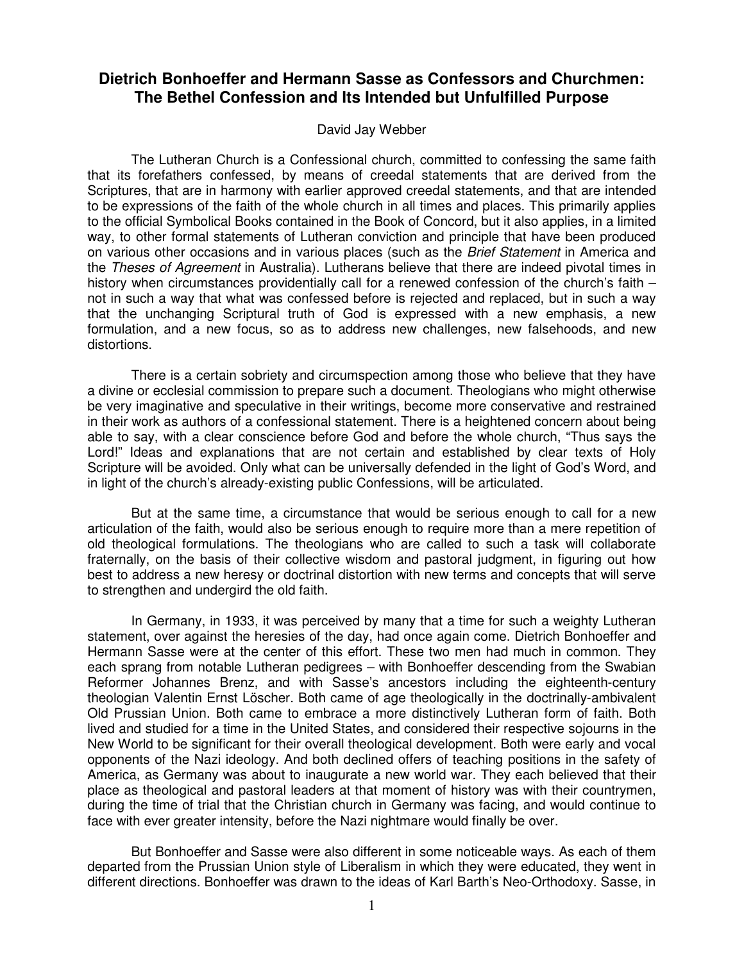## **Dietrich Bonhoeffer and Hermann Sasse as Confessors and Churchmen: The Bethel Confession and Its Intended but Unfulfilled Purpose**

## David Jay Webber

The Lutheran Church is a Confessional church, committed to confessing the same faith that its forefathers confessed, by means of creedal statements that are derived from the Scriptures, that are in harmony with earlier approved creedal statements, and that are intended to be expressions of the faith of the whole church in all times and places. This primarily applies to the official Symbolical Books contained in the Book of Concord, but it also applies, in a limited way, to other formal statements of Lutheran conviction and principle that have been produced on various other occasions and in various places (such as the Brief Statement in America and the Theses of Agreement in Australia). Lutherans believe that there are indeed pivotal times in history when circumstances providentially call for a renewed confession of the church's faith – not in such a way that what was confessed before is rejected and replaced, but in such a way that the unchanging Scriptural truth of God is expressed with a new emphasis, a new formulation, and a new focus, so as to address new challenges, new falsehoods, and new distortions.

There is a certain sobriety and circumspection among those who believe that they have a divine or ecclesial commission to prepare such a document. Theologians who might otherwise be very imaginative and speculative in their writings, become more conservative and restrained in their work as authors of a confessional statement. There is a heightened concern about being able to say, with a clear conscience before God and before the whole church, "Thus says the Lord!" Ideas and explanations that are not certain and established by clear texts of Holy Scripture will be avoided. Only what can be universally defended in the light of God's Word, and in light of the church's already-existing public Confessions, will be articulated.

But at the same time, a circumstance that would be serious enough to call for a new articulation of the faith, would also be serious enough to require more than a mere repetition of old theological formulations. The theologians who are called to such a task will collaborate fraternally, on the basis of their collective wisdom and pastoral judgment, in figuring out how best to address a new heresy or doctrinal distortion with new terms and concepts that will serve to strengthen and undergird the old faith.

In Germany, in 1933, it was perceived by many that a time for such a weighty Lutheran statement, over against the heresies of the day, had once again come. Dietrich Bonhoeffer and Hermann Sasse were at the center of this effort. These two men had much in common. They each sprang from notable Lutheran pedigrees – with Bonhoeffer descending from the Swabian Reformer Johannes Brenz, and with Sasse's ancestors including the eighteenth-century theologian Valentin Ernst Löscher. Both came of age theologically in the doctrinally-ambivalent Old Prussian Union. Both came to embrace a more distinctively Lutheran form of faith. Both lived and studied for a time in the United States, and considered their respective sojourns in the New World to be significant for their overall theological development. Both were early and vocal opponents of the Nazi ideology. And both declined offers of teaching positions in the safety of America, as Germany was about to inaugurate a new world war. They each believed that their place as theological and pastoral leaders at that moment of history was with their countrymen, during the time of trial that the Christian church in Germany was facing, and would continue to face with ever greater intensity, before the Nazi nightmare would finally be over.

But Bonhoeffer and Sasse were also different in some noticeable ways. As each of them departed from the Prussian Union style of Liberalism in which they were educated, they went in different directions. Bonhoeffer was drawn to the ideas of Karl Barth's Neo-Orthodoxy. Sasse, in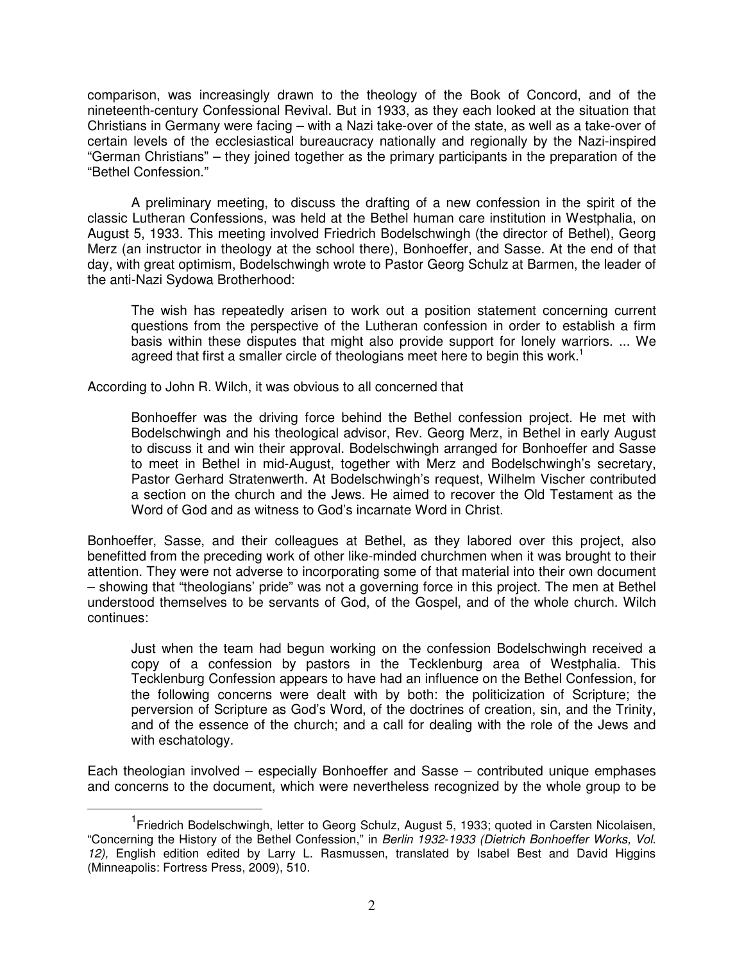comparison, was increasingly drawn to the theology of the Book of Concord, and of the nineteenth-century Confessional Revival. But in 1933, as they each looked at the situation that Christians in Germany were facing – with a Nazi take-over of the state, as well as a take-over of certain levels of the ecclesiastical bureaucracy nationally and regionally by the Nazi-inspired "German Christians" – they joined together as the primary participants in the preparation of the "Bethel Confession."

A preliminary meeting, to discuss the drafting of a new confession in the spirit of the classic Lutheran Confessions, was held at the Bethel human care institution in Westphalia, on August 5, 1933. This meeting involved Friedrich Bodelschwingh (the director of Bethel), Georg Merz (an instructor in theology at the school there), Bonhoeffer, and Sasse. At the end of that day, with great optimism, Bodelschwingh wrote to Pastor Georg Schulz at Barmen, the leader of the anti-Nazi Sydowa Brotherhood:

The wish has repeatedly arisen to work out a position statement concerning current questions from the perspective of the Lutheran confession in order to establish a firm basis within these disputes that might also provide support for lonely warriors. ... We agreed that first a smaller circle of theologians meet here to begin this work.<sup>1</sup>

According to John R. Wilch, it was obvious to all concerned that

 $\overline{a}$ 

Bonhoeffer was the driving force behind the Bethel confession project. He met with Bodelschwingh and his theological advisor, Rev. Georg Merz, in Bethel in early August to discuss it and win their approval. Bodelschwingh arranged for Bonhoeffer and Sasse to meet in Bethel in mid-August, together with Merz and Bodelschwingh's secretary, Pastor Gerhard Stratenwerth. At Bodelschwingh's request, Wilhelm Vischer contributed a section on the church and the Jews. He aimed to recover the Old Testament as the Word of God and as witness to God's incarnate Word in Christ.

Bonhoeffer, Sasse, and their colleagues at Bethel, as they labored over this project, also benefitted from the preceding work of other like-minded churchmen when it was brought to their attention. They were not adverse to incorporating some of that material into their own document – showing that "theologians' pride" was not a governing force in this project. The men at Bethel understood themselves to be servants of God, of the Gospel, and of the whole church. Wilch continues:

Just when the team had begun working on the confession Bodelschwingh received a copy of a confession by pastors in the Tecklenburg area of Westphalia. This Tecklenburg Confession appears to have had an influence on the Bethel Confession, for the following concerns were dealt with by both: the politicization of Scripture; the perversion of Scripture as God's Word, of the doctrines of creation, sin, and the Trinity, and of the essence of the church; and a call for dealing with the role of the Jews and with eschatology.

Each theologian involved – especially Bonhoeffer and Sasse – contributed unique emphases and concerns to the document, which were nevertheless recognized by the whole group to be

<sup>&</sup>lt;sup>1</sup> Friedrich Bodelschwingh, letter to Georg Schulz, August 5, 1933; quoted in Carsten Nicolaisen, "Concerning the History of the Bethel Confession," in Berlin 1932-1933 (Dietrich Bonhoeffer Works, Vol.  $12$ ), English edition edited by Larry L. Rasmussen, translated by Isabel Best and David Higgins (Minneapolis: Fortress Press, 2009), 510.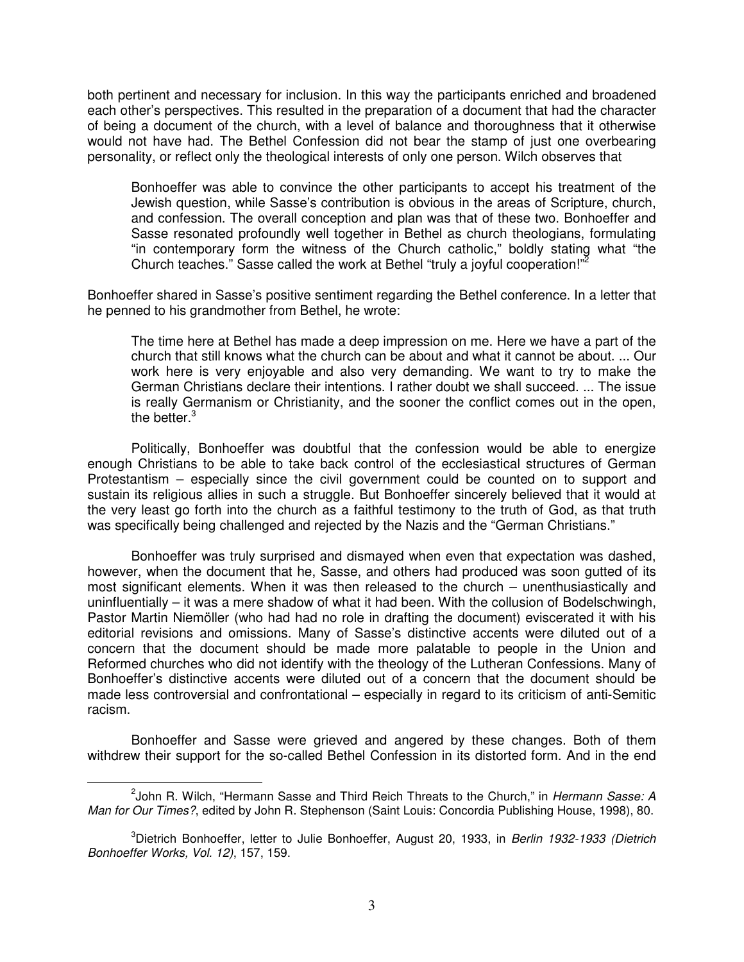both pertinent and necessary for inclusion. In this way the participants enriched and broadened each other's perspectives. This resulted in the preparation of a document that had the character of being a document of the church, with a level of balance and thoroughness that it otherwise would not have had. The Bethel Confession did not bear the stamp of just one overbearing personality, or reflect only the theological interests of only one person. Wilch observes that

Bonhoeffer was able to convince the other participants to accept his treatment of the Jewish question, while Sasse's contribution is obvious in the areas of Scripture, church, and confession. The overall conception and plan was that of these two. Bonhoeffer and Sasse resonated profoundly well together in Bethel as church theologians, formulating "in contemporary form the witness of the Church catholic," boldly stating what "the Church teaches." Sasse called the work at Bethel "truly a joyful cooperation!"

Bonhoeffer shared in Sasse's positive sentiment regarding the Bethel conference. In a letter that he penned to his grandmother from Bethel, he wrote:

The time here at Bethel has made a deep impression on me. Here we have a part of the church that still knows what the church can be about and what it cannot be about. ... Our work here is very enjoyable and also very demanding. We want to try to make the German Christians declare their intentions. I rather doubt we shall succeed. ... The issue is really Germanism or Christianity, and the sooner the conflict comes out in the open, the better.<sup>3</sup>

Politically, Bonhoeffer was doubtful that the confession would be able to energize enough Christians to be able to take back control of the ecclesiastical structures of German Protestantism – especially since the civil government could be counted on to support and sustain its religious allies in such a struggle. But Bonhoeffer sincerely believed that it would at the very least go forth into the church as a faithful testimony to the truth of God, as that truth was specifically being challenged and rejected by the Nazis and the "German Christians."

Bonhoeffer was truly surprised and dismayed when even that expectation was dashed, however, when the document that he, Sasse, and others had produced was soon gutted of its most significant elements. When it was then released to the church – unenthusiastically and uninfluentially – it was a mere shadow of what it had been. With the collusion of Bodelschwingh, Pastor Martin Niemöller (who had had no role in drafting the document) eviscerated it with his editorial revisions and omissions. Many of Sasse's distinctive accents were diluted out of a concern that the document should be made more palatable to people in the Union and Reformed churches who did not identify with the theology of the Lutheran Confessions. Many of Bonhoeffer's distinctive accents were diluted out of a concern that the document should be made less controversial and confrontational – especially in regard to its criticism of anti-Semitic racism.

Bonhoeffer and Sasse were grieved and angered by these changes. Both of them withdrew their support for the so-called Bethel Confession in its distorted form. And in the end

<sup>&</sup>lt;sup>2</sup>John R. Wilch, "Hermann Sasse and Third Reich Threats to the Church," in Hermann Sasse: A Man for Our Times?, edited by John R. Stephenson (Saint Louis: Concordia Publishing House, 1998), 80.

<sup>&</sup>lt;sup>3</sup>Dietrich Bonhoeffer, letter to Julie Bonhoeffer, August 20, 1933, in *Berlin 1932-1933 (Dietrich* Bonhoeffer Works, Vol. 12), 157, 159.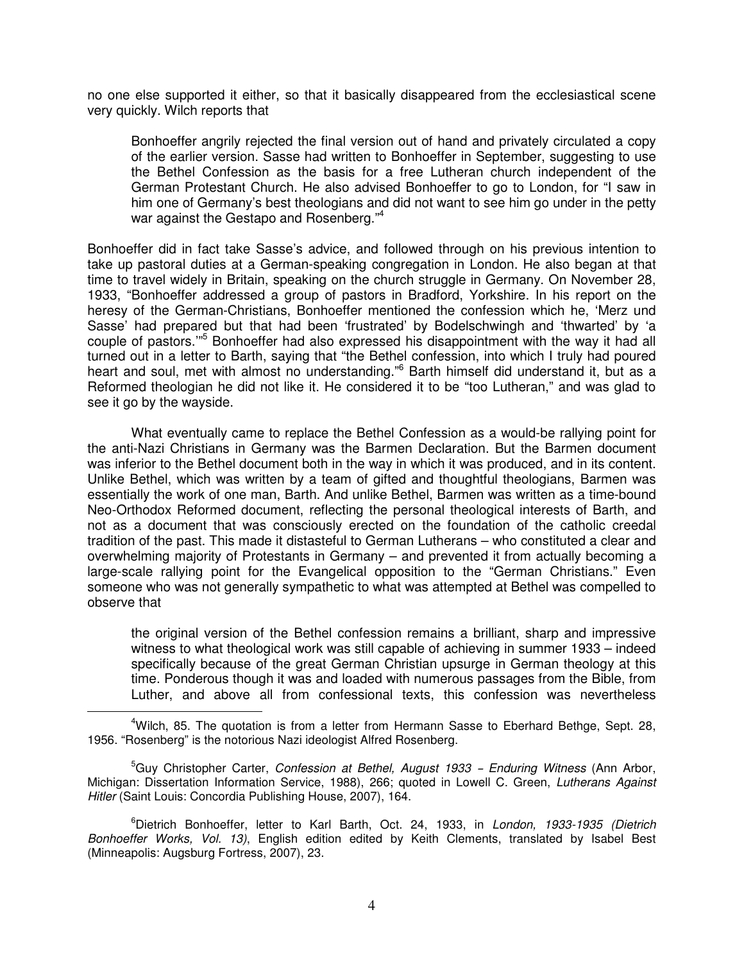no one else supported it either, so that it basically disappeared from the ecclesiastical scene very quickly. Wilch reports that

Bonhoeffer angrily rejected the final version out of hand and privately circulated a copy of the earlier version. Sasse had written to Bonhoeffer in September, suggesting to use the Bethel Confession as the basis for a free Lutheran church independent of the German Protestant Church. He also advised Bonhoeffer to go to London, for "I saw in him one of Germany's best theologians and did not want to see him go under in the petty war against the Gestapo and Rosenberg.<sup>"4</sup>

Bonhoeffer did in fact take Sasse's advice, and followed through on his previous intention to take up pastoral duties at a German-speaking congregation in London. He also began at that time to travel widely in Britain, speaking on the church struggle in Germany. On November 28, 1933, "Bonhoeffer addressed a group of pastors in Bradford, Yorkshire. In his report on the heresy of the German-Christians, Bonhoeffer mentioned the confession which he, 'Merz und Sasse' had prepared but that had been 'frustrated' by Bodelschwingh and 'thwarted' by 'a couple of pastors."<sup>5</sup> Bonhoeffer had also expressed his disappointment with the way it had all turned out in a letter to Barth, saying that "the Bethel confession, into which I truly had poured heart and soul, met with almost no understanding."<sup>6</sup> Barth himself did understand it, but as a Reformed theologian he did not like it. He considered it to be "too Lutheran," and was glad to see it go by the wayside.

What eventually came to replace the Bethel Confession as a would-be rallying point for the anti-Nazi Christians in Germany was the Barmen Declaration. But the Barmen document was inferior to the Bethel document both in the way in which it was produced, and in its content. Unlike Bethel, which was written by a team of gifted and thoughtful theologians, Barmen was essentially the work of one man, Barth. And unlike Bethel, Barmen was written as a time-bound Neo-Orthodox Reformed document, reflecting the personal theological interests of Barth, and not as a document that was consciously erected on the foundation of the catholic creedal tradition of the past. This made it distasteful to German Lutherans – who constituted a clear and overwhelming majority of Protestants in Germany – and prevented it from actually becoming a large-scale rallying point for the Evangelical opposition to the "German Christians." Even someone who was not generally sympathetic to what was attempted at Bethel was compelled to observe that

the original version of the Bethel confession remains a brilliant, sharp and impressive witness to what theological work was still capable of achieving in summer 1933 – indeed specifically because of the great German Christian upsurge in German theology at this time. Ponderous though it was and loaded with numerous passages from the Bible, from Luther, and above all from confessional texts, this confession was nevertheless

 $\overline{a}$ 

<sup>4</sup>Wilch, 85. The quotation is from a letter from Hermann Sasse to Eberhard Bethge, Sept. 28, 1956. "Rosenberg" is the notorious Nazi ideologist Alfred Rosenberg.

<sup>&</sup>lt;sup>5</sup>Guy Christopher Carter, Confession at Bethel, August 1933 - Enduring Witness (Ann Arbor, Michigan: Dissertation Information Service, 1988), 266; quoted in Lowell C. Green, Lutherans Against Hitler (Saint Louis: Concordia Publishing House, 2007), 164.

<sup>&</sup>lt;sup>6</sup>Dietrich Bonhoeffer, letter to Karl Barth, Oct. 24, 1933, in London, 1933-1935 (Dietrich Bonhoeffer Works, Vol. 13), English edition edited by Keith Clements, translated by Isabel Best (Minneapolis: Augsburg Fortress, 2007), 23.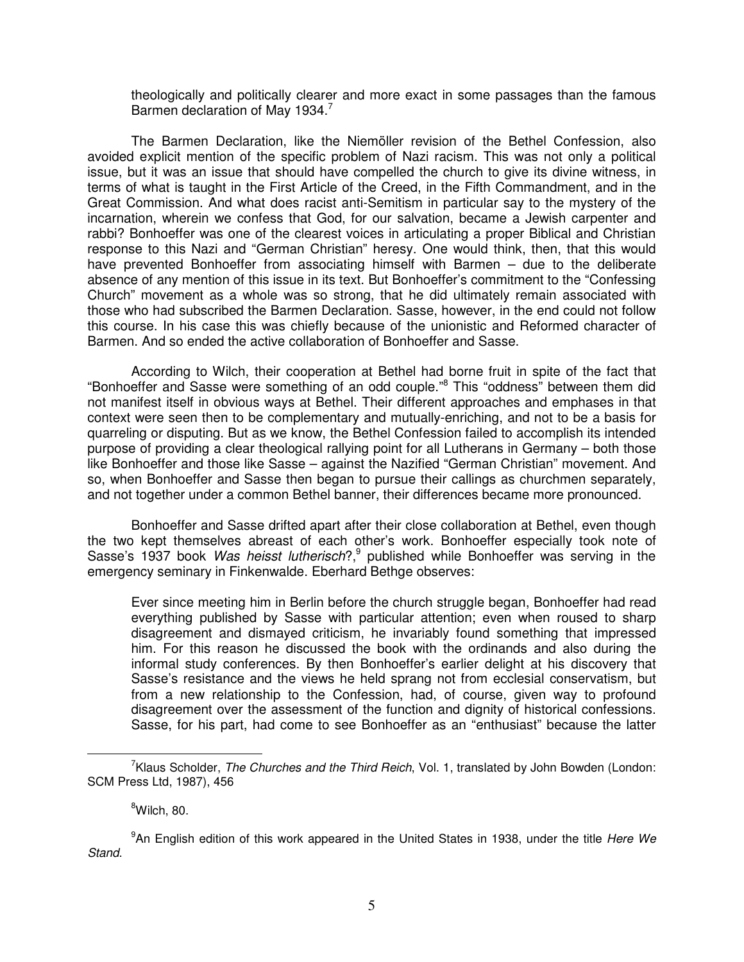theologically and politically clearer and more exact in some passages than the famous Barmen declaration of May 1934.<sup>7</sup>

The Barmen Declaration, like the Niemöller revision of the Bethel Confession, also avoided explicit mention of the specific problem of Nazi racism. This was not only a political issue, but it was an issue that should have compelled the church to give its divine witness, in terms of what is taught in the First Article of the Creed, in the Fifth Commandment, and in the Great Commission. And what does racist anti-Semitism in particular say to the mystery of the incarnation, wherein we confess that God, for our salvation, became a Jewish carpenter and rabbi? Bonhoeffer was one of the clearest voices in articulating a proper Biblical and Christian response to this Nazi and "German Christian" heresy. One would think, then, that this would have prevented Bonhoeffer from associating himself with Barmen – due to the deliberate absence of any mention of this issue in its text. But Bonhoeffer's commitment to the "Confessing Church" movement as a whole was so strong, that he did ultimately remain associated with those who had subscribed the Barmen Declaration. Sasse, however, in the end could not follow this course. In his case this was chiefly because of the unionistic and Reformed character of Barmen. And so ended the active collaboration of Bonhoeffer and Sasse.

According to Wilch, their cooperation at Bethel had borne fruit in spite of the fact that "Bonhoeffer and Sasse were something of an odd couple."<sup>8</sup> This "oddness" between them did not manifest itself in obvious ways at Bethel. Their different approaches and emphases in that context were seen then to be complementary and mutually-enriching, and not to be a basis for quarreling or disputing. But as we know, the Bethel Confession failed to accomplish its intended purpose of providing a clear theological rallying point for all Lutherans in Germany – both those like Bonhoeffer and those like Sasse – against the Nazified "German Christian" movement. And so, when Bonhoeffer and Sasse then began to pursue their callings as churchmen separately, and not together under a common Bethel banner, their differences became more pronounced.

Bonhoeffer and Sasse drifted apart after their close collaboration at Bethel, even though the two kept themselves abreast of each other's work. Bonhoeffer especially took note of Sasse's 1937 book Was heisst lutherisch?,<sup>9</sup> published while Bonhoeffer was serving in the emergency seminary in Finkenwalde. Eberhard Bethge observes:

Ever since meeting him in Berlin before the church struggle began, Bonhoeffer had read everything published by Sasse with particular attention; even when roused to sharp disagreement and dismayed criticism, he invariably found something that impressed him. For this reason he discussed the book with the ordinands and also during the informal study conferences. By then Bonhoeffer's earlier delight at his discovery that Sasse's resistance and the views he held sprang not from ecclesial conservatism, but from a new relationship to the Confession, had, of course, given way to profound disagreement over the assessment of the function and dignity of historical confessions. Sasse, for his part, had come to see Bonhoeffer as an "enthusiast" because the latter

<sup>&</sup>lt;sup>7</sup>Klaus Scholder, The Churches and the Third Reich, Vol. 1, translated by John Bowden (London: SCM Press Ltd, 1987), 456

 ${}^{8}$ Wilch, 80.

<sup>&</sup>lt;sup>9</sup>An English edition of this work appeared in the United States in 1938, under the title Here We Stand.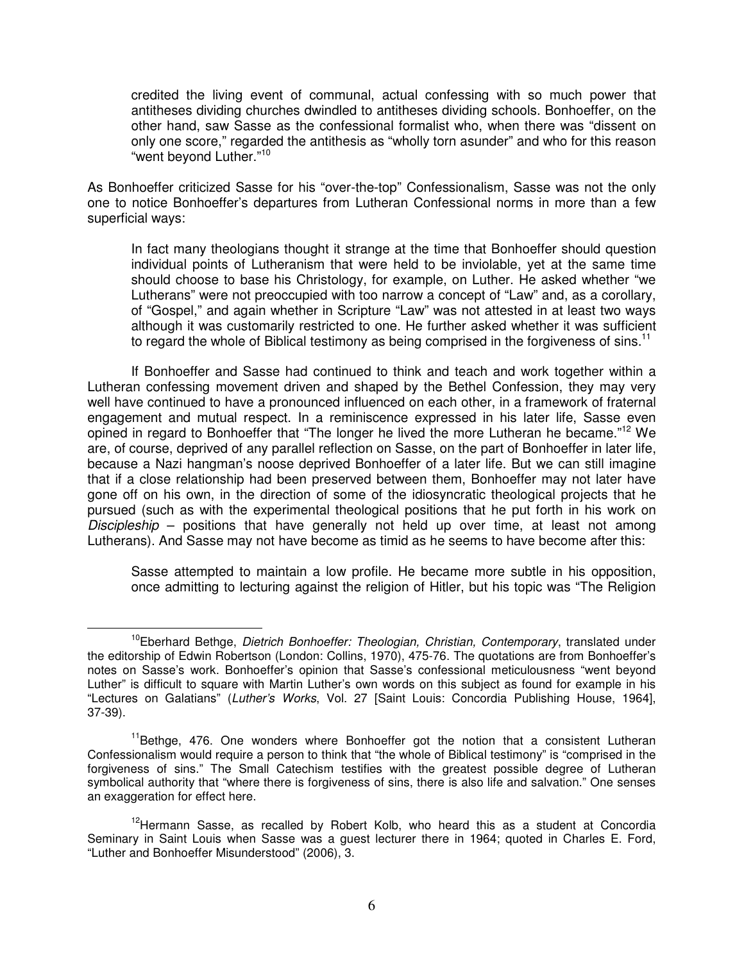credited the living event of communal, actual confessing with so much power that antitheses dividing churches dwindled to antitheses dividing schools. Bonhoeffer, on the other hand, saw Sasse as the confessional formalist who, when there was "dissent on only one score," regarded the antithesis as "wholly torn asunder" and who for this reason "went beyond Luther."<sup>10</sup>

As Bonhoeffer criticized Sasse for his "over-the-top" Confessionalism, Sasse was not the only one to notice Bonhoeffer's departures from Lutheran Confessional norms in more than a few superficial ways:

In fact many theologians thought it strange at the time that Bonhoeffer should question individual points of Lutheranism that were held to be inviolable, yet at the same time should choose to base his Christology, for example, on Luther. He asked whether "we Lutherans" were not preoccupied with too narrow a concept of "Law" and, as a corollary, of "Gospel," and again whether in Scripture "Law" was not attested in at least two ways although it was customarily restricted to one. He further asked whether it was sufficient to regard the whole of Biblical testimony as being comprised in the forgiveness of sins.<sup>11</sup>

If Bonhoeffer and Sasse had continued to think and teach and work together within a Lutheran confessing movement driven and shaped by the Bethel Confession, they may very well have continued to have a pronounced influenced on each other, in a framework of fraternal engagement and mutual respect. In a reminiscence expressed in his later life, Sasse even opined in regard to Bonhoeffer that "The longer he lived the more Lutheran he became."<sup>12</sup> We are, of course, deprived of any parallel reflection on Sasse, on the part of Bonhoeffer in later life, because a Nazi hangman's noose deprived Bonhoeffer of a later life. But we can still imagine that if a close relationship had been preserved between them, Bonhoeffer may not later have gone off on his own, in the direction of some of the idiosyncratic theological projects that he pursued (such as with the experimental theological positions that he put forth in his work on Discipleship – positions that have generally not held up over time, at least not among Lutherans). And Sasse may not have become as timid as he seems to have become after this:

Sasse attempted to maintain a low profile. He became more subtle in his opposition, once admitting to lecturing against the religion of Hitler, but his topic was "The Religion

<sup>&</sup>lt;sup>10</sup>Eberhard Bethge, *Dietrich Bonhoeffer: Theologian, Christian, Contemporary*, translated under the editorship of Edwin Robertson (London: Collins, 1970), 475-76. The quotations are from Bonhoeffer's notes on Sasse's work. Bonhoeffer's opinion that Sasse's confessional meticulousness "went beyond Luther" is difficult to square with Martin Luther's own words on this subject as found for example in his "Lectures on Galatians" (Luther's Works, Vol. 27 [Saint Louis: Concordia Publishing House, 1964], 37-39).

 $11$ Bethge, 476. One wonders where Bonhoeffer got the notion that a consistent Lutheran Confessionalism would require a person to think that "the whole of Biblical testimony" is "comprised in the forgiveness of sins." The Small Catechism testifies with the greatest possible degree of Lutheran symbolical authority that "where there is forgiveness of sins, there is also life and salvation." One senses an exaggeration for effect here.

<sup>&</sup>lt;sup>12</sup>Hermann Sasse, as recalled by Robert Kolb, who heard this as a student at Concordia Seminary in Saint Louis when Sasse was a guest lecturer there in 1964; quoted in Charles E. Ford, "Luther and Bonhoeffer Misunderstood" (2006), 3.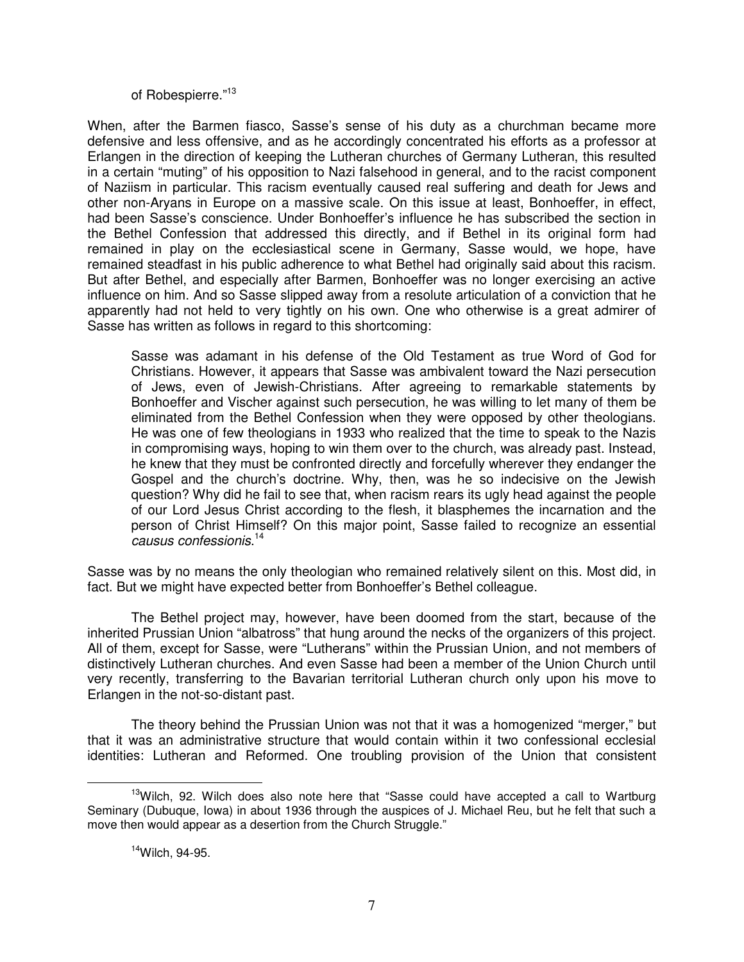of Robespierre."<sup>13</sup>

When, after the Barmen fiasco, Sasse's sense of his duty as a churchman became more defensive and less offensive, and as he accordingly concentrated his efforts as a professor at Erlangen in the direction of keeping the Lutheran churches of Germany Lutheran, this resulted in a certain "muting" of his opposition to Nazi falsehood in general, and to the racist component of Naziism in particular. This racism eventually caused real suffering and death for Jews and other non-Aryans in Europe on a massive scale. On this issue at least, Bonhoeffer, in effect, had been Sasse's conscience. Under Bonhoeffer's influence he has subscribed the section in the Bethel Confession that addressed this directly, and if Bethel in its original form had remained in play on the ecclesiastical scene in Germany, Sasse would, we hope, have remained steadfast in his public adherence to what Bethel had originally said about this racism. But after Bethel, and especially after Barmen, Bonhoeffer was no longer exercising an active influence on him. And so Sasse slipped away from a resolute articulation of a conviction that he apparently had not held to very tightly on his own. One who otherwise is a great admirer of Sasse has written as follows in regard to this shortcoming:

Sasse was adamant in his defense of the Old Testament as true Word of God for Christians. However, it appears that Sasse was ambivalent toward the Nazi persecution of Jews, even of Jewish-Christians. After agreeing to remarkable statements by Bonhoeffer and Vischer against such persecution, he was willing to let many of them be eliminated from the Bethel Confession when they were opposed by other theologians. He was one of few theologians in 1933 who realized that the time to speak to the Nazis in compromising ways, hoping to win them over to the church, was already past. Instead, he knew that they must be confronted directly and forcefully wherever they endanger the Gospel and the church's doctrine. Why, then, was he so indecisive on the Jewish question? Why did he fail to see that, when racism rears its ugly head against the people of our Lord Jesus Christ according to the flesh, it blasphemes the incarnation and the person of Christ Himself? On this major point, Sasse failed to recognize an essential causus confessionis. 14

Sasse was by no means the only theologian who remained relatively silent on this. Most did, in fact. But we might have expected better from Bonhoeffer's Bethel colleague.

The Bethel project may, however, have been doomed from the start, because of the inherited Prussian Union "albatross" that hung around the necks of the organizers of this project. All of them, except for Sasse, were "Lutherans" within the Prussian Union, and not members of distinctively Lutheran churches. And even Sasse had been a member of the Union Church until very recently, transferring to the Bavarian territorial Lutheran church only upon his move to Erlangen in the not-so-distant past.

The theory behind the Prussian Union was not that it was a homogenized "merger," but that it was an administrative structure that would contain within it two confessional ecclesial identities: Lutheran and Reformed. One troubling provision of the Union that consistent

 $13$ Wilch, 92. Wilch does also note here that "Sasse could have accepted a call to Wartburg Seminary (Dubuque, Iowa) in about 1936 through the auspices of J. Michael Reu, but he felt that such a move then would appear as a desertion from the Church Struggle."

 $14$ Wilch, 94-95.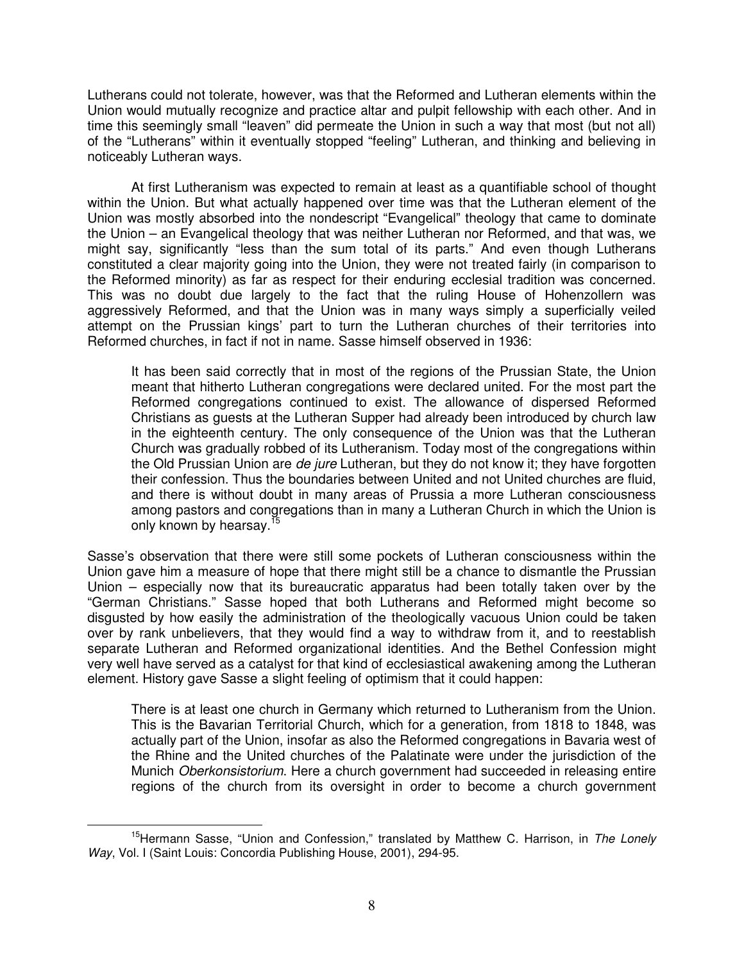Lutherans could not tolerate, however, was that the Reformed and Lutheran elements within the Union would mutually recognize and practice altar and pulpit fellowship with each other. And in time this seemingly small "leaven" did permeate the Union in such a way that most (but not all) of the "Lutherans" within it eventually stopped "feeling" Lutheran, and thinking and believing in noticeably Lutheran ways.

At first Lutheranism was expected to remain at least as a quantifiable school of thought within the Union. But what actually happened over time was that the Lutheran element of the Union was mostly absorbed into the nondescript "Evangelical" theology that came to dominate the Union – an Evangelical theology that was neither Lutheran nor Reformed, and that was, we might say, significantly "less than the sum total of its parts." And even though Lutherans constituted a clear majority going into the Union, they were not treated fairly (in comparison to the Reformed minority) as far as respect for their enduring ecclesial tradition was concerned. This was no doubt due largely to the fact that the ruling House of Hohenzollern was aggressively Reformed, and that the Union was in many ways simply a superficially veiled attempt on the Prussian kings' part to turn the Lutheran churches of their territories into Reformed churches, in fact if not in name. Sasse himself observed in 1936:

It has been said correctly that in most of the regions of the Prussian State, the Union meant that hitherto Lutheran congregations were declared united. For the most part the Reformed congregations continued to exist. The allowance of dispersed Reformed Christians as guests at the Lutheran Supper had already been introduced by church law in the eighteenth century. The only consequence of the Union was that the Lutheran Church was gradually robbed of its Lutheranism. Today most of the congregations within the Old Prussian Union are *de jure* Lutheran, but they do not know it; they have forgotten their confession. Thus the boundaries between United and not United churches are fluid, and there is without doubt in many areas of Prussia a more Lutheran consciousness among pastors and congregations than in many a Lutheran Church in which the Union is only known by hearsay.<sup>15</sup>

Sasse's observation that there were still some pockets of Lutheran consciousness within the Union gave him a measure of hope that there might still be a chance to dismantle the Prussian Union – especially now that its bureaucratic apparatus had been totally taken over by the "German Christians." Sasse hoped that both Lutherans and Reformed might become so disgusted by how easily the administration of the theologically vacuous Union could be taken over by rank unbelievers, that they would find a way to withdraw from it, and to reestablish separate Lutheran and Reformed organizational identities. And the Bethel Confession might very well have served as a catalyst for that kind of ecclesiastical awakening among the Lutheran element. History gave Sasse a slight feeling of optimism that it could happen:

There is at least one church in Germany which returned to Lutheranism from the Union. This is the Bavarian Territorial Church, which for a generation, from 1818 to 1848, was actually part of the Union, insofar as also the Reformed congregations in Bavaria west of the Rhine and the United churches of the Palatinate were under the jurisdiction of the Munich Oberkonsistorium. Here a church government had succeeded in releasing entire regions of the church from its oversight in order to become a church government

<sup>&</sup>lt;sup>15</sup>Hermann Sasse, "Union and Confession," translated by Matthew C. Harrison, in The Lonely Way, Vol. I (Saint Louis: Concordia Publishing House, 2001), 294-95.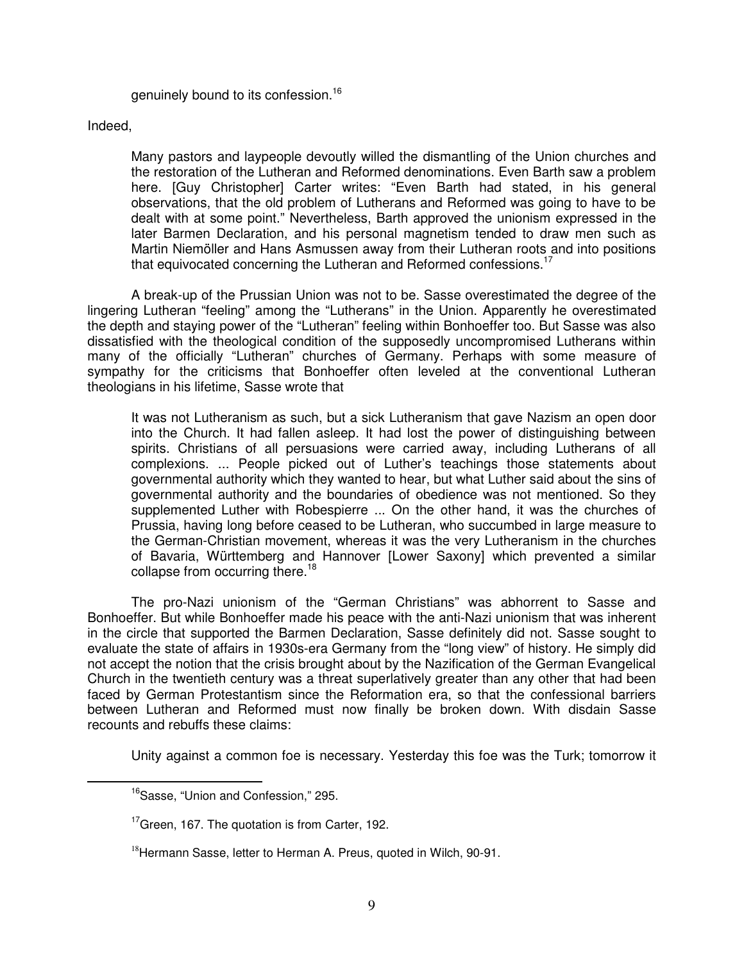genuinely bound to its confession.<sup>16</sup>

Indeed,

Many pastors and laypeople devoutly willed the dismantling of the Union churches and the restoration of the Lutheran and Reformed denominations. Even Barth saw a problem here. [Guy Christopher] Carter writes: "Even Barth had stated, in his general observations, that the old problem of Lutherans and Reformed was going to have to be dealt with at some point." Nevertheless, Barth approved the unionism expressed in the later Barmen Declaration, and his personal magnetism tended to draw men such as Martin Niemöller and Hans Asmussen away from their Lutheran roots and into positions that equivocated concerning the Lutheran and Reformed confessions.<sup>17</sup>

A break-up of the Prussian Union was not to be. Sasse overestimated the degree of the lingering Lutheran "feeling" among the "Lutherans" in the Union. Apparently he overestimated the depth and staying power of the "Lutheran" feeling within Bonhoeffer too. But Sasse was also dissatisfied with the theological condition of the supposedly uncompromised Lutherans within many of the officially "Lutheran" churches of Germany. Perhaps with some measure of sympathy for the criticisms that Bonhoeffer often leveled at the conventional Lutheran theologians in his lifetime, Sasse wrote that

It was not Lutheranism as such, but a sick Lutheranism that gave Nazism an open door into the Church. It had fallen asleep. It had lost the power of distinguishing between spirits. Christians of all persuasions were carried away, including Lutherans of all complexions. ... People picked out of Luther's teachings those statements about governmental authority which they wanted to hear, but what Luther said about the sins of governmental authority and the boundaries of obedience was not mentioned. So they supplemented Luther with Robespierre ... On the other hand, it was the churches of Prussia, having long before ceased to be Lutheran, who succumbed in large measure to the German-Christian movement, whereas it was the very Lutheranism in the churches of Bavaria, Württemberg and Hannover [Lower Saxony] which prevented a similar collapse from occurring there.<sup>18</sup>

The pro-Nazi unionism of the "German Christians" was abhorrent to Sasse and Bonhoeffer. But while Bonhoeffer made his peace with the anti-Nazi unionism that was inherent in the circle that supported the Barmen Declaration, Sasse definitely did not. Sasse sought to evaluate the state of affairs in 1930s-era Germany from the "long view" of history. He simply did not accept the notion that the crisis brought about by the Nazification of the German Evangelical Church in the twentieth century was a threat superlatively greater than any other that had been faced by German Protestantism since the Reformation era, so that the confessional barriers between Lutheran and Reformed must now finally be broken down. With disdain Sasse recounts and rebuffs these claims:

Unity against a common foe is necessary. Yesterday this foe was the Turk; tomorrow it

<sup>&</sup>lt;sup>16</sup>Sasse, "Union and Confession," 295.

<sup>&</sup>lt;sup>17</sup> Green, 167. The quotation is from Carter, 192.

<sup>&</sup>lt;sup>18</sup>Hermann Sasse, letter to Herman A. Preus, quoted in Wilch, 90-91.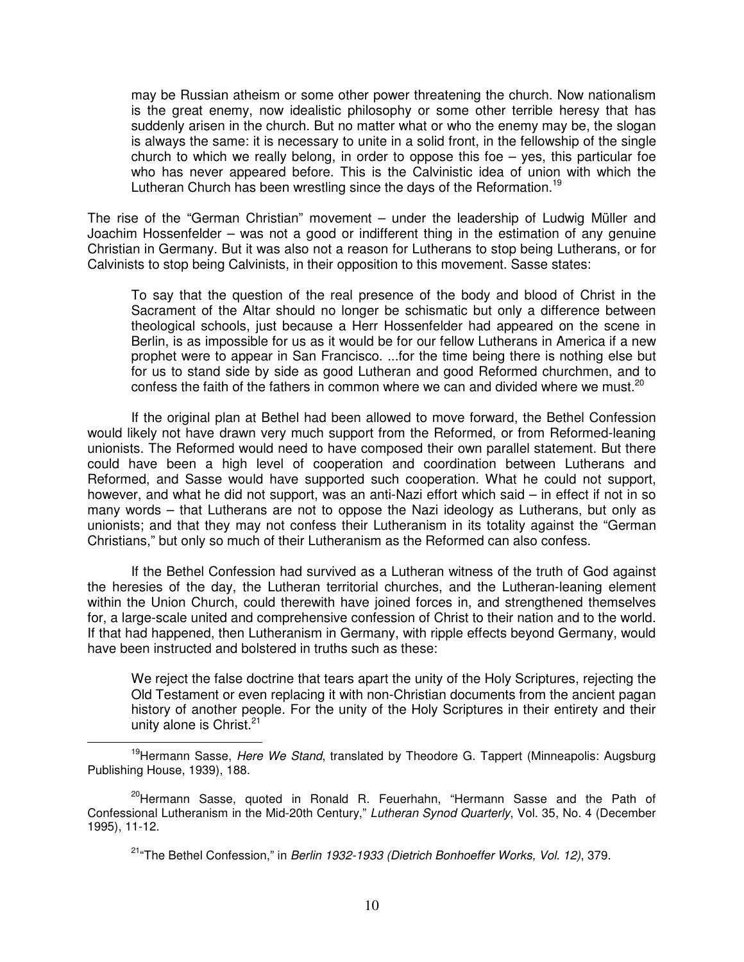may be Russian atheism or some other power threatening the church. Now nationalism is the great enemy, now idealistic philosophy or some other terrible heresy that has suddenly arisen in the church. But no matter what or who the enemy may be, the slogan is always the same: it is necessary to unite in a solid front, in the fellowship of the single church to which we really belong, in order to oppose this foe – yes, this particular foe who has never appeared before. This is the Calvinistic idea of union with which the Lutheran Church has been wrestling since the days of the Reformation.<sup>19</sup>

The rise of the "German Christian" movement – under the leadership of Ludwig Müller and Joachim Hossenfelder – was not a good or indifferent thing in the estimation of any genuine Christian in Germany. But it was also not a reason for Lutherans to stop being Lutherans, or for Calvinists to stop being Calvinists, in their opposition to this movement. Sasse states:

To say that the question of the real presence of the body and blood of Christ in the Sacrament of the Altar should no longer be schismatic but only a difference between theological schools, just because a Herr Hossenfelder had appeared on the scene in Berlin, is as impossible for us as it would be for our fellow Lutherans in America if a new prophet were to appear in San Francisco. ...for the time being there is nothing else but for us to stand side by side as good Lutheran and good Reformed churchmen, and to confess the faith of the fathers in common where we can and divided where we must.<sup>20</sup>

If the original plan at Bethel had been allowed to move forward, the Bethel Confession would likely not have drawn very much support from the Reformed, or from Reformed-leaning unionists. The Reformed would need to have composed their own parallel statement. But there could have been a high level of cooperation and coordination between Lutherans and Reformed, and Sasse would have supported such cooperation. What he could not support, however, and what he did not support, was an anti-Nazi effort which said – in effect if not in so many words – that Lutherans are not to oppose the Nazi ideology as Lutherans, but only as unionists; and that they may not confess their Lutheranism in its totality against the "German Christians," but only so much of their Lutheranism as the Reformed can also confess.

If the Bethel Confession had survived as a Lutheran witness of the truth of God against the heresies of the day, the Lutheran territorial churches, and the Lutheran-leaning element within the Union Church, could therewith have joined forces in, and strengthened themselves for, a large-scale united and comprehensive confession of Christ to their nation and to the world. If that had happened, then Lutheranism in Germany, with ripple effects beyond Germany, would have been instructed and bolstered in truths such as these:

We reject the false doctrine that tears apart the unity of the Holy Scriptures, rejecting the Old Testament or even replacing it with non-Christian documents from the ancient pagan history of another people. For the unity of the Holy Scriptures in their entirety and their unity alone is Christ. $21$ 

<sup>&</sup>lt;sup>19</sup>Hermann Sasse, Here We Stand, translated by Theodore G. Tappert (Minneapolis: Augsburg Publishing House, 1939), 188.

<sup>&</sup>lt;sup>20</sup>Hermann Sasse, quoted in Ronald R. Feuerhahn, "Hermann Sasse and the Path of Confessional Lutheranism in the Mid-20th Century," Lutheran Synod Quarterly, Vol. 35, No. 4 (December 1995), 11-12.

<sup>&</sup>lt;sup>21</sup>"The Bethel Confession," in Berlin 1932-1933 (Dietrich Bonhoeffer Works, Vol. 12), 379.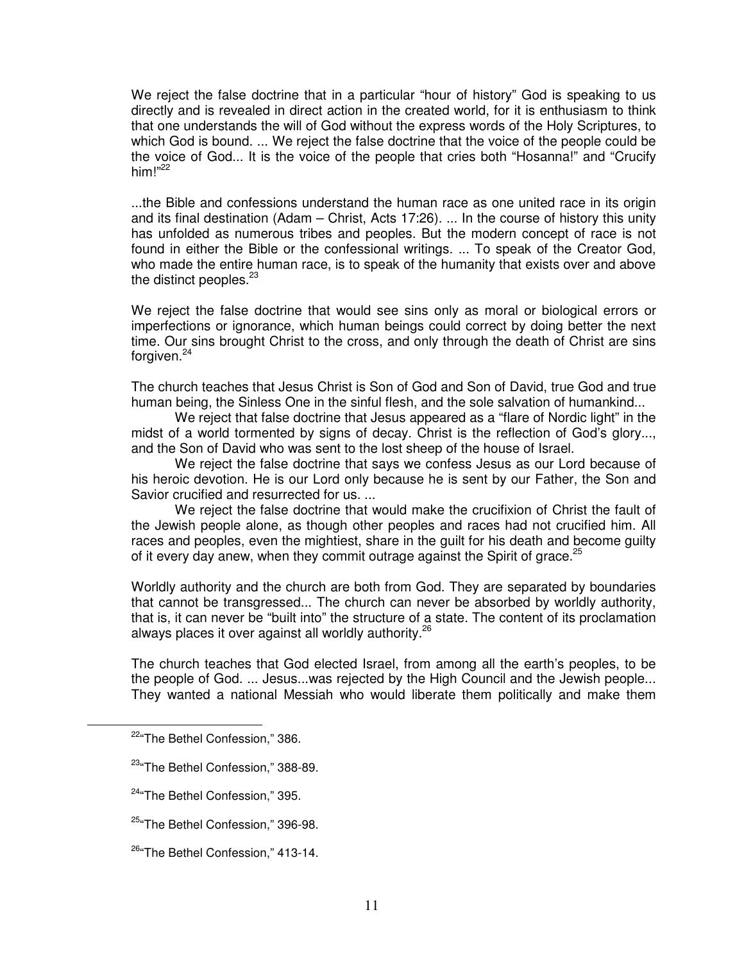We reject the false doctrine that in a particular "hour of history" God is speaking to us directly and is revealed in direct action in the created world, for it is enthusiasm to think that one understands the will of God without the express words of the Holy Scriptures, to which God is bound. ... We reject the false doctrine that the voice of the people could be the voice of God... It is the voice of the people that cries both "Hosanna!" and "Crucify him!" $^{22}$ 

...the Bible and confessions understand the human race as one united race in its origin and its final destination (Adam – Christ, Acts 17:26). ... In the course of history this unity has unfolded as numerous tribes and peoples. But the modern concept of race is not found in either the Bible or the confessional writings. ... To speak of the Creator God, who made the entire human race, is to speak of the humanity that exists over and above the distinct peoples. $23$ 

We reject the false doctrine that would see sins only as moral or biological errors or imperfections or ignorance, which human beings could correct by doing better the next time. Our sins brought Christ to the cross, and only through the death of Christ are sins forgiven.<sup>24</sup>

The church teaches that Jesus Christ is Son of God and Son of David, true God and true human being, the Sinless One in the sinful flesh, and the sole salvation of humankind...

We reject that false doctrine that Jesus appeared as a "flare of Nordic light" in the midst of a world tormented by signs of decay. Christ is the reflection of God's glory..., and the Son of David who was sent to the lost sheep of the house of Israel.

We reject the false doctrine that says we confess Jesus as our Lord because of his heroic devotion. He is our Lord only because he is sent by our Father, the Son and Savior crucified and resurrected for us. ...

We reject the false doctrine that would make the crucifixion of Christ the fault of the Jewish people alone, as though other peoples and races had not crucified him. All races and peoples, even the mightiest, share in the guilt for his death and become guilty of it every day anew, when they commit outrage against the Spirit of grace.<sup>25</sup>

Worldly authority and the church are both from God. They are separated by boundaries that cannot be transgressed... The church can never be absorbed by worldly authority, that is, it can never be "built into" the structure of a state. The content of its proclamation always places it over against all worldly authority.<sup>26</sup>

The church teaches that God elected Israel, from among all the earth's peoples, to be the people of God. ... Jesus...was rejected by the High Council and the Jewish people... They wanted a national Messiah who would liberate them politically and make them

<sup>22</sup>"The Bethel Confession," 386.

<sup>&</sup>lt;sup>23</sup> The Bethel Confession," 388-89.

<sup>&</sup>lt;sup>24</sup> The Bethel Confession," 395.

<sup>&</sup>lt;sup>25</sup> The Bethel Confession," 396-98.

<sup>&</sup>lt;sup>26</sup> The Bethel Confession," 413-14.